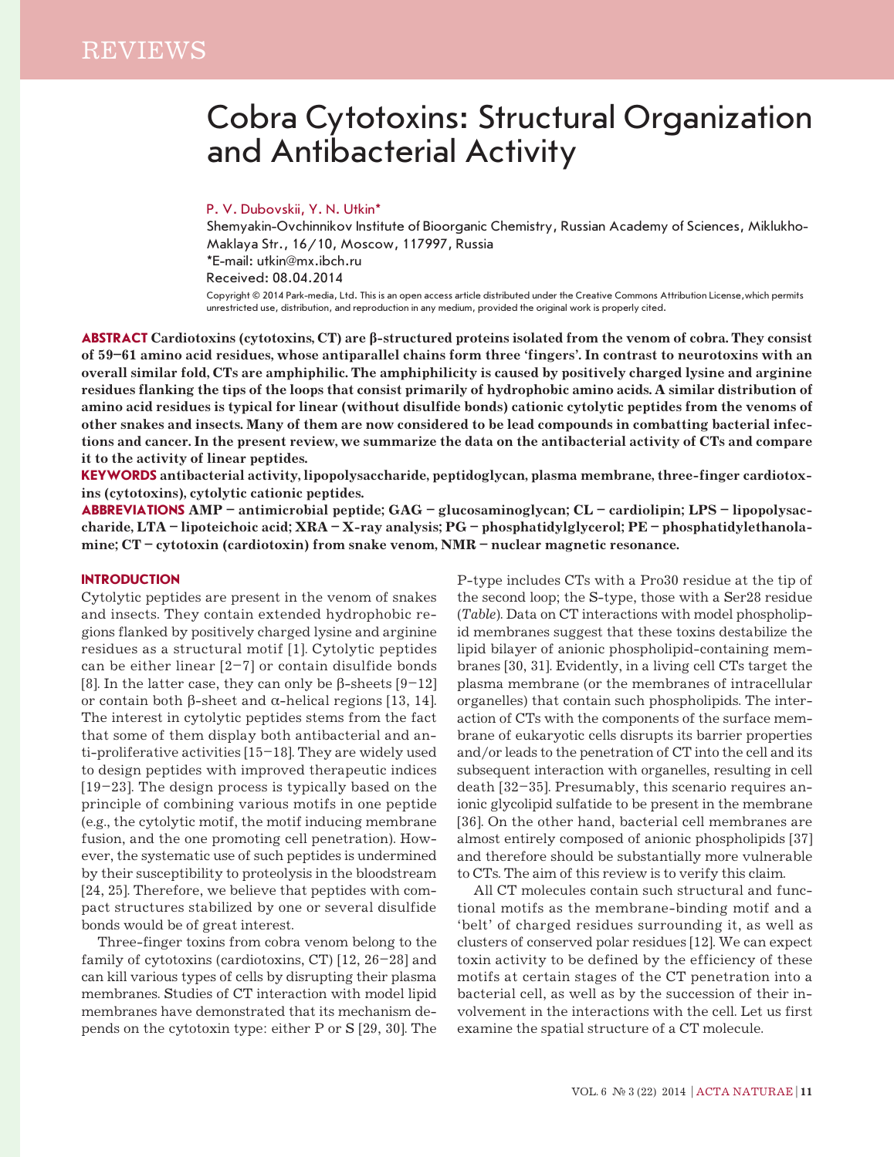# Cobra Cytotoxins: Structural Organization and Antibacterial Activity

## P. V. Dubovskii, Y. N. Utkin\*

Shemyakin-Ovchinnikov Institute of Bioorganic Chemistry, Russian Academy of Sciences, Miklukho-Maklaya Str., 16/10, Moscow, 117997, Russia \*E-mail: utkin@mx.ibch.ru Received: 08.04.2014 Copyright © 2014 Park-media, Ltd. This is an open access article distributed under the Creative Commons Attribution License,which permits unrestricted use, distribution, and reproduction in any medium, provided the original work is properly cited.

**ABSTRACT Cardiotoxins (cytotoxins, CT) are β-structured proteins isolated from the venom of cobra. They consist of 59–61 amino acid residues, whose antiparallel chains form three 'fingers'. In contrast to neurotoxins with an overall similar fold, CTs are amphiphilic. The amphiphilicity is caused by positively charged lysine and arginine residues flanking the tips of the loops that consist primarily of hydrophobic amino acids. A similar distribution of amino acid residues is typical for linear (without disulfide bonds) cationic cytolytic peptides from the venoms of other snakes and insects. Many of them are now considered to be lead compounds in combatting bacterial infections and cancer. In the present review, we summarize the data on the antibacterial activity of CTs and compare it to the activity of linear peptides.**

**KEYWORDS antibacterial activity, lipopolysaccharide, peptidoglycan, plasma membrane, three-finger cardiotoxins (cytotoxins), cytolytic cationic peptides.**

**ABBREVIATIONS AMP – antimicrobial peptide; GAG – glucosaminoglycan; CL – cardiolipin; LPS – lipopolysaccharide, LTA – lipoteichoic acid; XRA – X-ray analysis; PG – phosphatidylglycerol; PE – phosphatidylethanolamine; CT – cytotoxin (cardiotoxin) from snake venom, NMR – nuclear magnetic resonance.**

#### **Introduction**

Cytolytic peptides are present in the venom of snakes and insects. They contain extended hydrophobic regions flanked by positively charged lysine and arginine residues as a structural motif [1]. Cytolytic peptides can be either linear  $[2-7]$  or contain disulfide bonds [8]. In the latter case, they can only be β-sheets  $[9-12]$ or contain both β-sheet and α-helical regions [13, 14]. The interest in cytolytic peptides stems from the fact that some of them display both antibacterial and anti-proliferative activities [15–18]. They are widely used to design peptides with improved therapeutic indices [19–23]. The design process is typically based on the principle of combining various motifs in one peptide (e.g., the cytolytic motif, the motif inducing membrane fusion, and the one promoting cell penetration). However, the systematic use of such peptides is undermined by their susceptibility to proteolysis in the bloodstream [24, 25]. Therefore, we believe that peptides with compact structures stabilized by one or several disulfide bonds would be of great interest.

Three-finger toxins from cobra venom belong to the family of cytotoxins (cardiotoxins, CT) [12, 26–28] and can kill various types of cells by disrupting their plasma membranes. Studies of CT interaction with model lipid membranes have demonstrated that its mechanism depends on the cytotoxin type: either P or S [29, 30]. The

P-type includes CTs with a Pro30 residue at the tip of the second loop; the S-type, those with a Ser28 residue (*Table*). Data on CT interactions with model phospholipid membranes suggest that these toxins destabilize the lipid bilayer of anionic phospholipid-containing membranes [30, 31]. Evidently, in a living cell CTs target the plasma membrane (or the membranes of intracellular organelles) that contain such phospholipids. The interaction of CTs with the components of the surface membrane of eukaryotic cells disrupts its barrier properties and/or leads to the penetration of CT into the cell and its subsequent interaction with organelles, resulting in cell death [32–35]. Presumably, this scenario requires anionic glycolipid sulfatide to be present in the membrane [36]. On the other hand, bacterial cell membranes are almost entirely composed of anionic phospholipids [37] and therefore should be substantially more vulnerable to CTs. The aim of this review is to verify this claim.

All CT molecules contain such structural and functional motifs as the membrane-binding motif and a 'belt' of charged residues surrounding it, as well as clusters of conserved polar residues [12]. We can expect toxin activity to be defined by the efficiency of these motifs at certain stages of the CT penetration into a bacterial cell, as well as by the succession of their involvement in the interactions with the cell. Let us first examine the spatial structure of a CT molecule.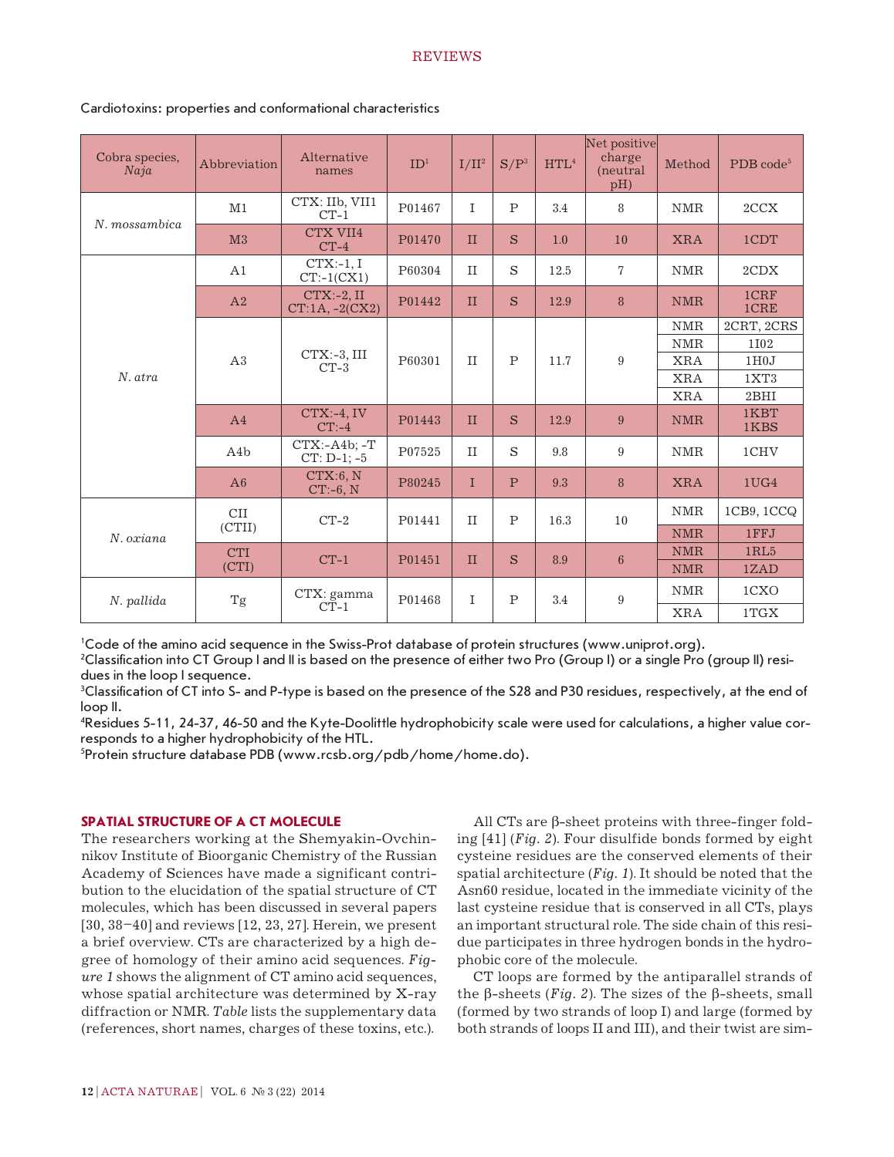#### **REVIEWS**

| Cobra species,<br>Naja | Abbreviation         | Alternative<br>names             | ID <sup>1</sup> | $I/II^2$     | $S/P^3$      | HTL <sup>4</sup> | Net positive<br>charge<br>(neutral)<br>pH) | Method     | PDB code <sup>5</sup> |
|------------------------|----------------------|----------------------------------|-----------------|--------------|--------------|------------------|--------------------------------------------|------------|-----------------------|
| N. mossambica          | M1                   | CTX: IIb, VII1<br>$CT-1$         | P01467          | I            | $\mathbf{P}$ | 3.4              | 8                                          | <b>NMR</b> | 2CCX                  |
|                        | M <sub>3</sub>       | CTX VII4<br>$CT-4$               | P01470          | $\mathbf{I}$ | S            | 1.0              | <b>10</b>                                  | <b>XRA</b> | 1CDT                  |
| N. atra                | A1                   | $CTX:-1, I$<br>$CT:-1(CX1)$      | P60304          | II           | S            | 12.5             | $\overline{7}$                             | <b>NMR</b> | 2CDX                  |
|                        | A <sub>2</sub>       | $CTX:-2, II$<br>$CT:1A, -2(CX2)$ | P01442          | $\mathbf{I}$ | S            | 12.9             | 8                                          | <b>NMR</b> | 1CRF<br>1CRE          |
|                        | A3                   | $CTX:-3$ , III<br>$CT-3$         | P60301          | $\rm II$     | $\mathbf P$  | 11.7             | 9                                          | $\rm NMR$  | 2CRT, 2CRS            |
|                        |                      |                                  |                 |              |              |                  |                                            | <b>NMR</b> | 1102                  |
|                        |                      |                                  |                 |              |              |                  |                                            | <b>XRA</b> | 1H0J                  |
|                        |                      |                                  |                 |              |              |                  |                                            | <b>XRA</b> | 1XT3                  |
|                        |                      |                                  |                 |              |              |                  |                                            | <b>XRA</b> | 2BHI                  |
|                        | A <sub>4</sub>       | $CTX:-4, IV$<br>$CT: -4$         | P01443          | $\mathbf{I}$ | S            | 12.9             | 9                                          | <b>NMR</b> | 1KBT<br>1KBS          |
|                        | A4b                  | $CTX: -A4b: -T$<br>$CT: D-1: -5$ | P07525          | II           | S            | 9.8              | 9                                          | <b>NMR</b> | 1CHV                  |
|                        | A6                   | CTX:6, N<br>$CT:-6, N$           | P80245          | $\mathbf I$  | $\mathbf{P}$ | 9.3              | 8                                          | <b>XRA</b> | 1 <sub>UG4</sub>      |
| N. oziana              | <b>CII</b><br>(CTII) | $CT-2$                           | P01441          | $\rm II$     | $\mathbf P$  | 16.3             | 10                                         | <b>NMR</b> | 1CB9, 1CCQ            |
|                        |                      |                                  |                 |              |              |                  |                                            | <b>NMR</b> | 1FFJ                  |
|                        | <b>CTI</b><br>(CTI)  | $CT-1$                           | P01451          | II           | S            | 8.9              | $6\phantom{1}6$                            | <b>NMR</b> | 1RL5                  |
|                        |                      |                                  |                 |              |              |                  |                                            | <b>NMR</b> | 1ZAD                  |
| N. pallida             | Tg                   | CTX: gamma<br>$CT-1$             | P01468          | I            | $\mathbf P$  | 3.4              | 9                                          | <b>NMR</b> | 1CXO                  |
|                        |                      |                                  |                 |              |              |                  |                                            | <b>XRA</b> | 1TGX                  |

## Cardiotoxins: properties and conformational characteristics

1 Code of the amino acid sequence in the Swiss-Prot database of protein structures (www.uniprot.org).

2 Classification into CT Group I and II is based on the presence of either two Pro (Group I) or a single Pro (group II) residues in the loop I sequence.

 $3$ Classification of CT into S- and P-type is based on the presence of the S28 and P30 residues, respectively, at the end of loop II.

4 Residues 5-11, 24-37, 46-50 and the Kyte-Doolittle hydrophobicity scale were used for calculations, a higher value corresponds to a higher hydrophobicity of the HTL.

5 Protein structure database PDB (www.rcsb.org/pdb/home/home.do).

# **SpaTial structure of a CT molecule**

The researchers working at the Shemyakin-Ovchinnikov Institute of Bioorganic Chemistry of the Russian Academy of Sciences have made a significant contribution to the elucidation of the spatial structure of CT molecules, which has been discussed in several papers [30, 38–40] and reviews [12, 23, 27]. Herein, we present a brief overview. CTs are characterized by a high degree of homology of their amino acid sequences. *Figure 1* shows the alignment of CT amino acid sequences, whose spatial architecture was determined by X-ray diffraction or NMR. *Table* lists the supplementary data (references, short names, charges of these toxins, etc.).

All CTs are β-sheet proteins with three-finger folding [41] (*Fig. 2*). Four disulfide bonds formed by eight cysteine residues are the conserved elements of their spatial architecture (*Fig. 1*). It should be noted that the Asn60 residue, located in the immediate vicinity of the last cysteine residue that is conserved in all CTs, plays an important structural role. The side chain of this residue participates in three hydrogen bonds in the hydrophobic core of the molecule.

CT loops are formed by the antiparallel strands of the β-sheets (*Fig. 2*). The sizes of the β-sheets, small (formed by two strands of loop I) and large (formed by both strands of loops II and III), and their twist are sim-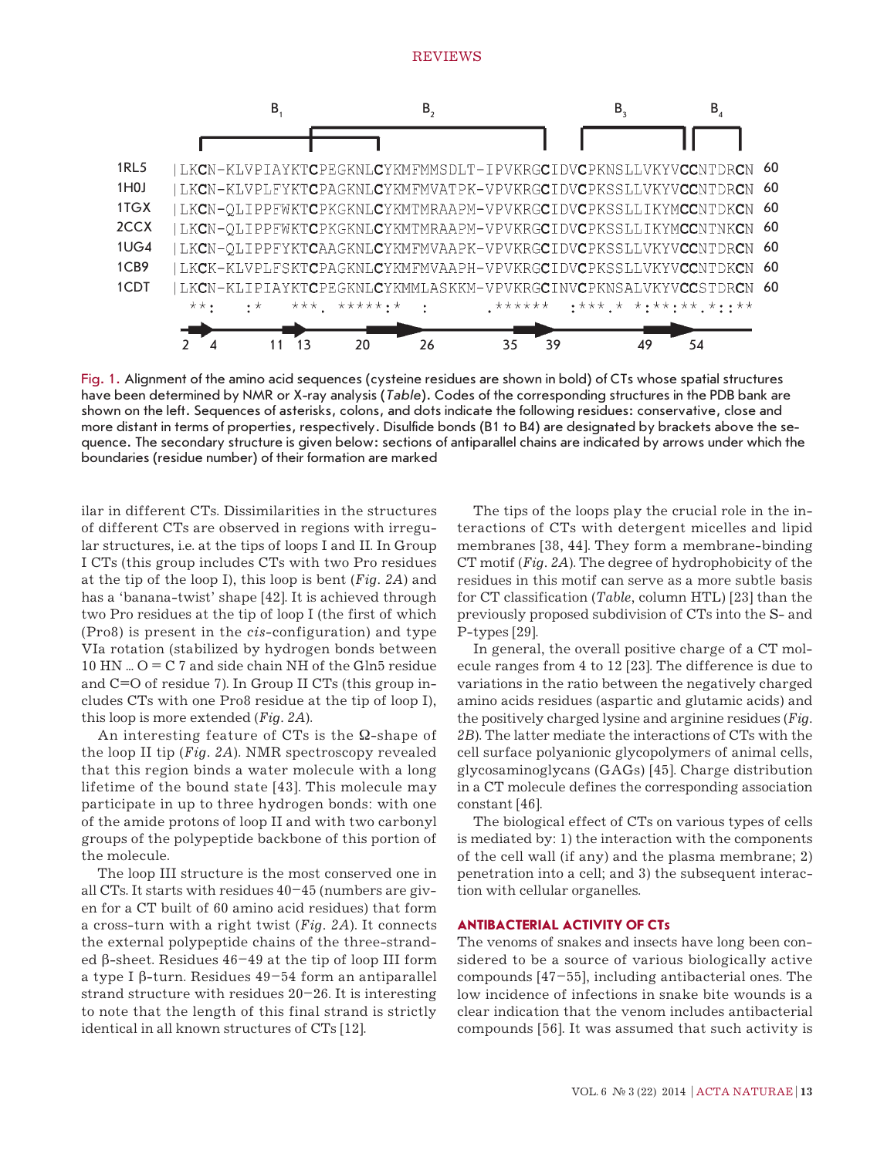

Fig. 1. Alignment of the amino acid sequences (cysteine residues are shown in bold) of CTs whose spatial structures have been determined by NMR or X-ray analysis (*Table*). Codes of the corresponding structures in the PDB bank are shown on the left. Sequences of asterisks, colons, and dots indicate the following residues: conservative, close and more distant in terms of properties, respectively. Disulfide bonds (B1 to B4) are designated by brackets above the sequence. The secondary structure is given below: sections of antiparallel chains are indicated by arrows under which the boundaries (residue number) of their formation are marked

ilar in different CTs. Dissimilarities in the structures of different CTs are observed in regions with irregular structures, i.e. at the tips of loops I and II. In Group I CTs (this group includes CTs with two Pro residues at the tip of the loop I), this loop is bent (*Fig. 2A*) and has a 'banana-twist' shape [42]. It is achieved through two Pro residues at the tip of loop I (the first of which (Pro8) is present in the *cis*-configuration) and type VIa rotation (stabilized by hydrogen bonds between 10 HN ...  $O = C$  7 and side chain NH of the Gln5 residue and C=O of residue 7). In Group II CTs (this group includes CTs with one Pro8 residue at the tip of loop I), this loop is more extended (*Fig. 2A*).

An interesting feature of CTs is the  $\Omega$ -shape of the loop II tip (*Fig. 2A*). NMR spectroscopy revealed that this region binds a water molecule with a long lifetime of the bound state [43]. This molecule may participate in up to three hydrogen bonds: with one of the amide protons of loop II and with two carbonyl groups of the polypeptide backbone of this portion of the molecule.

The loop III structure is the most conserved one in all CTs. It starts with residues 40–45 (numbers are given for a CT built of 60 amino acid residues) that form a cross-turn with a right twist (*Fig. 2A*). It connects the external polypeptide chains of the three-stranded β-sheet. Residues 46–49 at the tip of loop III form a type I β-turn. Residues 49–54 form an antiparallel strand structure with residues 20–26. It is interesting to note that the length of this final strand is strictly identical in all known structures of CTs [12].

The tips of the loops play the crucial role in the interactions of CTs with detergent micelles and lipid membranes [38, 44]. They form a membrane-binding CT motif (*Fig. 2A*). The degree of hydrophobicity of the residues in this motif can serve as a more subtle basis for CT classification (*Table*, column HTL) [23] than the previously proposed subdivision of CTs into the S- and P-types [29].

In general, the overall positive charge of a CT molecule ranges from 4 to 12 [23]. The difference is due to variations in the ratio between the negatively charged amino acids residues (aspartic and glutamic acids) and the positively charged lysine and arginine residues (*Fig.*  2B). The latter mediate the interactions of CTs with the cell surface polyanionic glycopolymers of animal cells, glycosaminoglycans (GAGs) [45]. Charge distribution in a CT molecule defines the corresponding association constant [46].

The biological effect of CTs on various types of cells is mediated by: 1) the interaction with the components of the cell wall (if any) and the plasma membrane; 2) penetration into a cell; and 3) the subsequent interaction with cellular organelles.

#### **Antibacterial activity of CTs**

The venoms of snakes and insects have long been considered to be a source of various biologically active compounds [47–55], including antibacterial ones. The low incidence of infections in snake bite wounds is a clear indication that the venom includes antibacterial compounds [56]. It was assumed that such activity is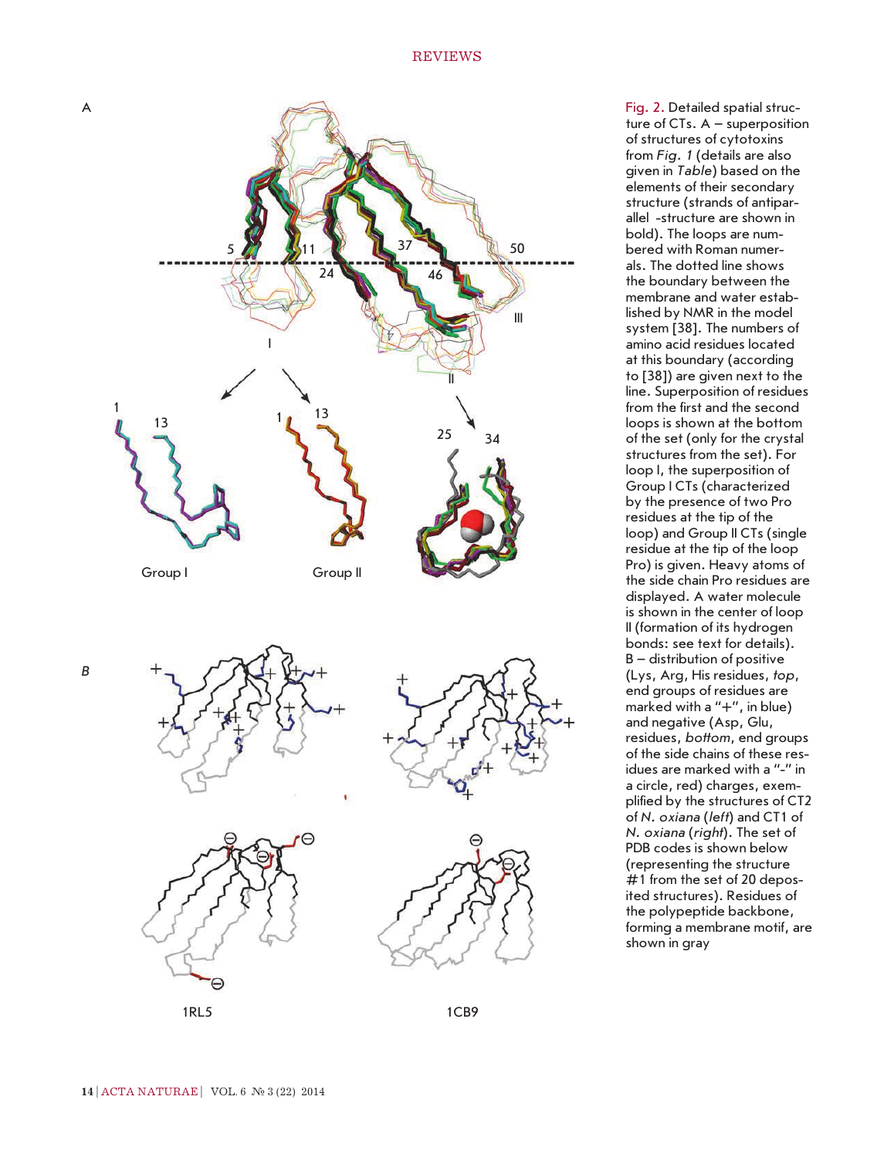

ture of CTs. A – superposition of structures of cytotoxins from *Fig. 1* (details are also given in *Table*) based on the elements of their secondary structure (strands of antiparallel -structure are shown in bold). The loops are numbered with Roman numerals. The dotted line shows the boundary between the membrane and water established by NMR in the model system [38]. The numbers of amino acid residues located at this boundary (according to [38]) are given next to the line. Superposition of residues from the first and the second loops is shown at the bottom of the set (only for the crystal structures from the set). For loop I, the superposition of Group I CTs (characterized by the presence of two Pro residues at the tip of the loop) and Group II CTs (single residue at the tip of the loop Pro) is given. Heavy atoms of the side chain Pro residues are displayed. A water molecule is shown in the center of loop II (formation of its hydrogen bonds: see text for details). B – distribution of positive (Lys, Arg, His residues, *top*, end groups of residues are marked with a "+", in blue) and negative (Asp, Glu, residues, *bottom*, end groups of the side chains of these residues are marked with a "-" in a circle, red) charges, exemplified by the structures of CT2 of *N. oxiana* (*left*) and CT1 of *N. oxiana* (*right*). The set of PDB codes is shown below (representing the structure #1 from the set of 20 deposited structures). Residues of the polypeptide backbone, forming a membrane motif, are shown in gray

Fig. 2. Detailed spatial struc-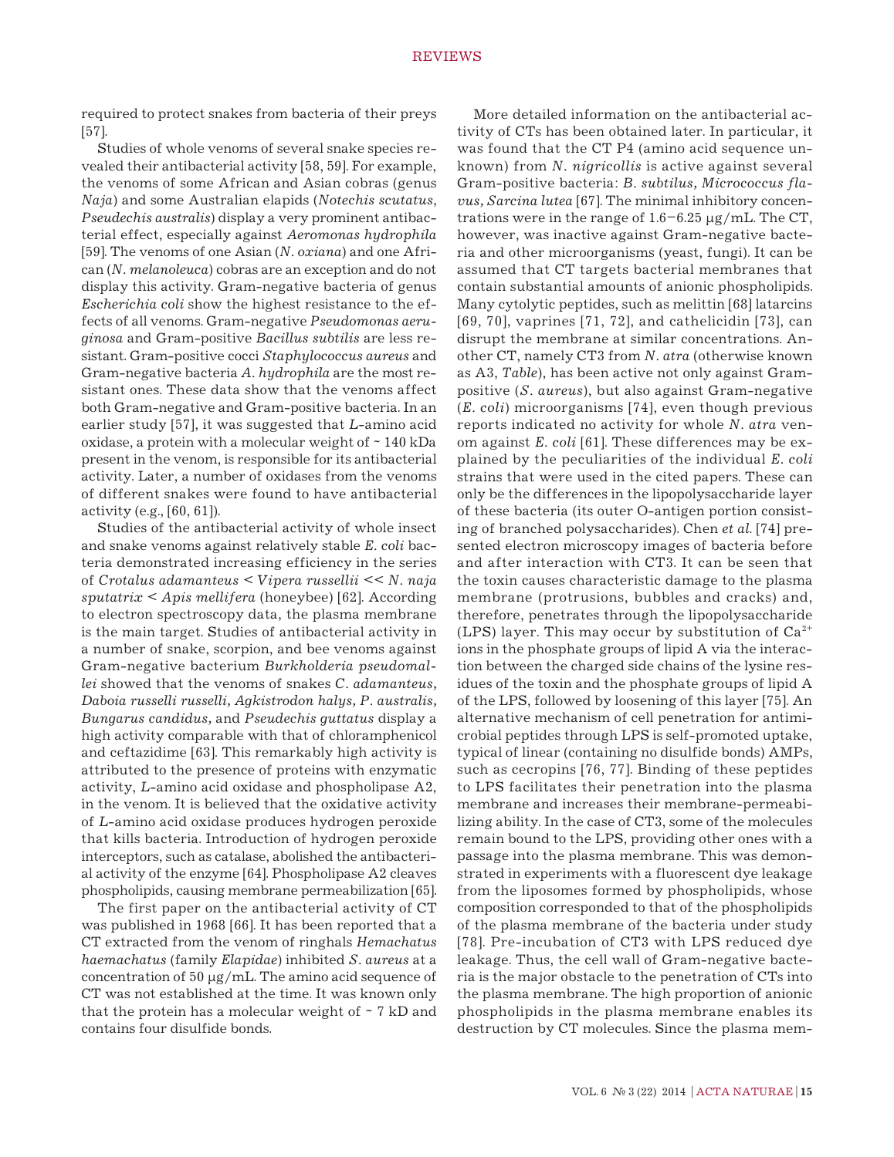required to protect snakes from bacteria of their preys [57].

Studies of whole venoms of several snake species revealed their antibacterial activity [58, 59]. For example, the venoms of some African and Asian cobras (genus *Naja*) and some Australian elapids (*Notechis scutatus*, *Pseudechis australis*) display a very prominent antibacterial effect, especially against *Aeromonas hydrophila* [59]. The venoms of one Asian (*N. oxiana*) and one African (*N. melanoleuca*) cobras are an exception and do not display this activity. Gram-negative bacteria of genus *Escherichia coli* show the highest resistance to the effects of all venoms. Gram-negative *Pseudomonas aeruginosa* and Gram-positive *Bacillus subtilis* are less resistant. Gram-positive cocci *Staphylococcus aureus* and Gram-negative bacteria *A. hydrophila* are the most resistant ones. These data show that the venoms affect both Gram-negative and Gram-positive bacteria. In an earlier study [57], it was suggested that *L*-amino acid oxidase, a protein with a molecular weight of ~ 140 kDa present in the venom, is responsible for its antibacterial activity. Later, a number of oxidases from the venoms of different snakes were found to have antibacterial activity (e.g., [60, 61]).

Studies of the antibacterial activity of whole insect and snake venoms against relatively stable *E. coli* bacteria demonstrated increasing efficiency in the series of *Crotalus adamanteus* < *Vipera russellii* << *N. naja sputatrix < Apis mellifera* (honeybee) [62]. According to electron spectroscopy data, the plasma membrane is the main target. Studies of antibacterial activity in a number of snake, scorpion, and bee venoms against Gram-negative bacterium *Burkholderia pseudomallei* showed that the venoms of snakes *C. adamanteus, Daboia russelli russelli, Agkistrodon halys, P. australis, Bungarus candidus,* and *Pseudechis guttatus* display a high activity comparable with that of chloramphenicol and ceftazidime [63]. This remarkably high activity is attributed to the presence of proteins with enzymatic activity, *L*-amino acid oxidase and phospholipase A2, in the venom. It is believed that the oxidative activity of *L*-amino acid oxidase produces hydrogen peroxide that kills bacteria. Introduction of hydrogen peroxide interceptors, such as catalase, abolished the antibacterial activity of the enzyme [64]. Phospholipase A2 cleaves phospholipids, causing membrane permeabilization [65].

The first paper on the antibacterial activity of CT was published in 1968 [66]. It has been reported that a CT extracted from the venom of ringhals *Hemachatus haemachatus* (family *Elapidae*) inhibited *S. aureus* at a concentration of 50 µg/mL. The amino acid sequence of CT was not established at the time. It was known only that the protein has a molecular weight of  $\sim$  7 kD and contains four disulfide bonds.

More detailed information on the antibacterial activity of CTs has been obtained later. In particular, it was found that the CT P4 (amino acid sequence unknown) from *N. nigricollis* is active against several Gram-positive bacteria: *B. subtilus, Micrococcus flavus, Sarcina lutea* [67]. The minimal inhibitory concentrations were in the range of  $1.6-6.25 \mu g/mL$ . The CT, however, was inactive against Gram-negative bacteria and other microorganisms (yeast, fungi). It can be assumed that CT targets bacterial membranes that contain substantial amounts of anionic phospholipids. Many cytolytic peptides, such as melittin [68] latarcins [69, 70], vaprines [71, 72], and cathelicidin [73], can disrupt the membrane at similar concentrations. Another CT, namely CT3 from *N. atra* (otherwise known as A3, *Table*), has been active not only against Grampositive (*S. aureus*), but also against Gram-negative (*E. coli*) microorganisms [74], even though previous reports indicated no activity for whole *N. atra* venom against *E. coli* [61]. These differences may be explained by the peculiarities of the individual *E. coli*  strains that were used in the cited papers. These can only be the differences in the lipopolysaccharide layer of these bacteria (its outer O-antigen portion consisting of branched polysaccharides). Chen *et al*. [74] presented electron microscopy images of bacteria before and after interaction with CT3. It can be seen that the toxin causes characteristic damage to the plasma membrane (protrusions, bubbles and cracks) and, therefore, penetrates through the lipopolysaccharide (LPS) layer. This may occur by substitution of  $Ca^{2+}$ ions in the phosphate groups of lipid A via the interaction between the charged side chains of the lysine residues of the toxin and the phosphate groups of lipid A of the LPS, followed by loosening of this layer [75]. An alternative mechanism of cell penetration for antimicrobial peptides through LPS is self-promoted uptake, typical of linear (containing no disulfide bonds) AMPs, such as cecropins [76, 77]. Binding of these peptides to LPS facilitates their penetration into the plasma membrane and increases their membrane-permeabilizing ability. In the case of CT3, some of the molecules remain bound to the LPS, providing other ones with a passage into the plasma membrane. This was demonstrated in experiments with a fluorescent dye leakage from the liposomes formed by phospholipids, whose composition corresponded to that of the phospholipids of the plasma membrane of the bacteria under study [78]. Pre-incubation of CT3 with LPS reduced dye leakage. Thus, the cell wall of Gram-negative bacteria is the major obstacle to the penetration of CTs into the plasma membrane. The high proportion of anionic phospholipids in the plasma membrane enables its destruction by CT molecules. Since the plasma mem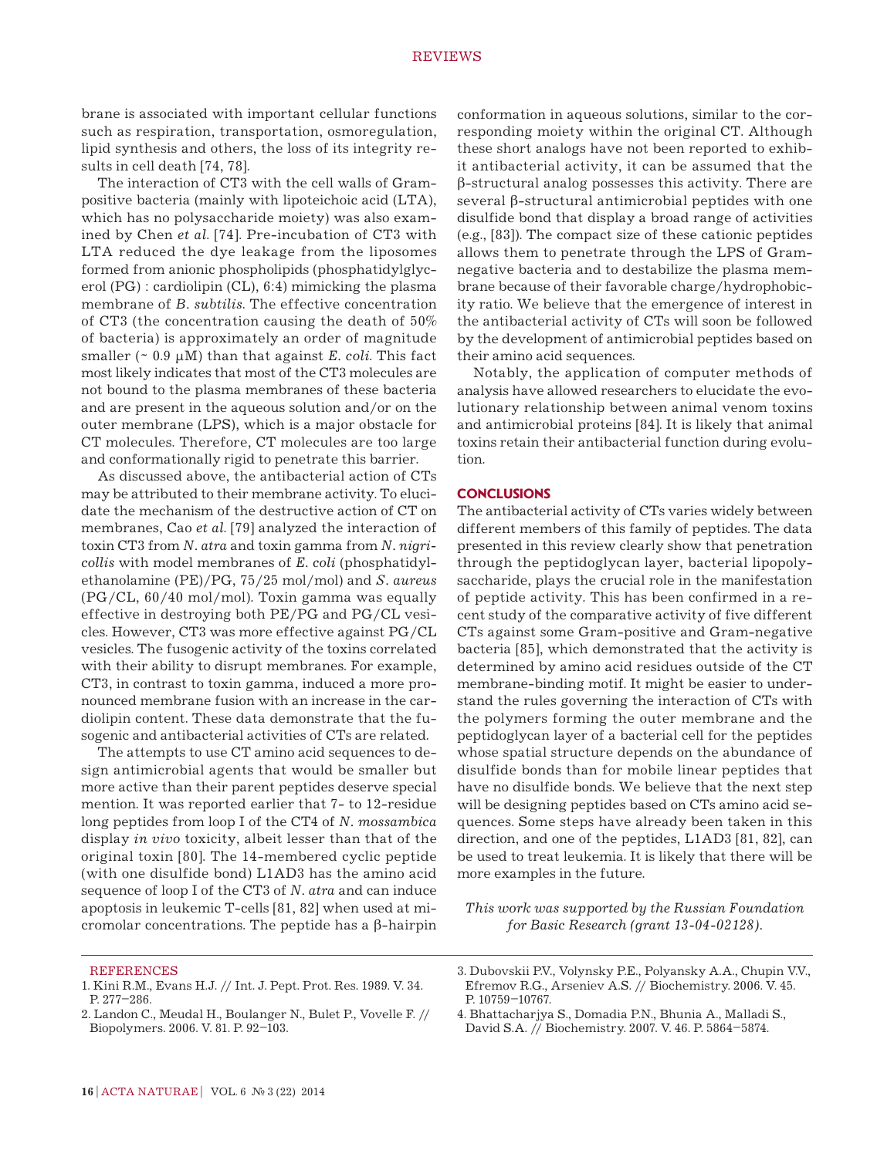brane is associated with important cellular functions such as respiration, transportation, osmoregulation, lipid synthesis and others, the loss of its integrity results in cell death [74, 78].

The interaction of CT3 with the cell walls of Grampositive bacteria (mainly with lipoteichoic acid (LTA), which has no polysaccharide moiety) was also examined by Chen *et al*. [74]. Pre-incubation of CT3 with LTA reduced the dye leakage from the liposomes formed from anionic phospholipids (phosphatidylglycerol (PG) : cardiolipin (CL), 6:4) mimicking the plasma membrane of *B. subtilis*. The effective concentration of CT3 (the concentration causing the death of 50% of bacteria) is approximately an order of magnitude smaller (~ 0.9 µM) than that against *E. coli*. This fact most likely indicates that most of the CT3 molecules are not bound to the plasma membranes of these bacteria and are present in the aqueous solution and/or on the outer membrane (LPS), which is a major obstacle for CT molecules. Therefore, CT molecules are too large and conformationally rigid to penetrate this barrier.

As discussed above, the antibacterial action of CTs may be attributed to their membrane activity. To elucidate the mechanism of the destructive action of CT on membranes, Cao *et al*. [79] analyzed the interaction of toxin CT 3 from *N. atra* and toxin gamma from *N. nigricollis* with model membranes of *E. coli* (phosphatidylethanolamine (PE)/PG, 75/25 mol/mol) and *S. aureus* (PG/CL, 60/40 mol/mol). Toxin gamma was equally effective in destroying both PE/PG and PG/CL vesicles. However, CT3 was more effective against PG/CL vesicles. The fusogenic activity of the toxins correlated with their ability to disrupt membranes. For example, CT3, in contrast to toxin gamma, induced a more pronounced membrane fusion with an increase in the cardiolipin content. These data demonstrate that the fusogenic and antibacterial activities of CTs are related.

The attempts to use CT amino acid sequences to design antimicrobial agents that would be smaller but more active than their parent peptides deserve special mention. It was reported earlier that 7- to 12-residue long peptides from loop I of the CT4 of *N. mossambica* display *in vivo* toxicity, albeit lesser than that of the original toxin [80]. The 14-membered cyclic peptide (with one disulfide bond) L1AD3 has the amino acid sequence of loop I of the CT3 of *N. atra* and can induce apoptosis in leukemic T-cells [81, 82] when used at micromolar concentrations. The peptide has a β-hairpin conformation in aqueous solutions, similar to the corresponding moiety within the original CT. Although these short analogs have not been reported to exhibit antibacterial activity, it can be assumed that the β-structural analog possesses this activity. There are several β-structural antimicrobial peptides with one disulfide bond that display a broad range of activities (e.g., [83]). The compact size of these cationic peptides allows them to penetrate through the LPS of Gramnegative bacteria and to destabilize the plasma membrane because of their favorable charge/hydrophobicity ratio. We believe that the emergence of interest in the antibacterial activity of CTs will soon be followed by the development of antimicrobial peptides based on their amino acid sequences.

Notably, the application of computer methods of analysis have allowed researchers to elucidate the evolutionary relationship between animal venom toxins and antimicrobial proteins [84]. It is likely that animal toxins retain their antibacterial function during evolution.

#### **ConclusionS**

The antibacterial activity of CTs varies widely between different members of this family of peptides. The data presented in this review clearly show that penetration through the peptidoglycan layer, bacterial lipopolysaccharide, plays the crucial role in the manifestation of peptide activity. This has been confirmed in a recent study of the comparative activity of five different CTs against some Gram-positive and Gram-negative bacteria [85], which demonstrated that the activity is determined by amino acid residues outside of the CT membrane-binding motif. It might be easier to understand the rules governing the interaction of CTs with the polymers forming the outer membrane and the peptidoglycan layer of a bacterial cell for the peptides whose spatial structure depends on the abundance of disulfide bonds than for mobile linear peptides that have no disulfide bonds. We believe that the next step will be designing peptides based on CTs amino acid sequences. Some steps have already been taken in this direction, and one of the peptides, L1AD3 [81, 82], can be used to treat leukemia. It is likely that there will be more examples in the future.

*This work was supported by the Russian Foundation for Basic Research (grant 13-04-02128).*

**REFERENCES** 

- 1. Kini R.M., Evans H.J. // Int. J. Pept. Prot. Res. 1989. V. 34. P. 277–286.
- 2. Landon C., Meudal H., Boulanger N., Bulet P., Vovelle F. // Biopolymers. 2006. V. 81. P. 92–103.

4. Bhattacharjya S., Domadia P.N., Bhunia A., Malladi S., David S.A. // Biochemistry. 2007. V. 46. P. 5864–5874.

<sup>3.</sup> Dubovskii P.V., Volynsky P.E., Polyansky A.A., Chupin V.V., Efremov R.G., Arseniev A.S. // Biochemistry. 2006. V. 45. P. 10759–10767.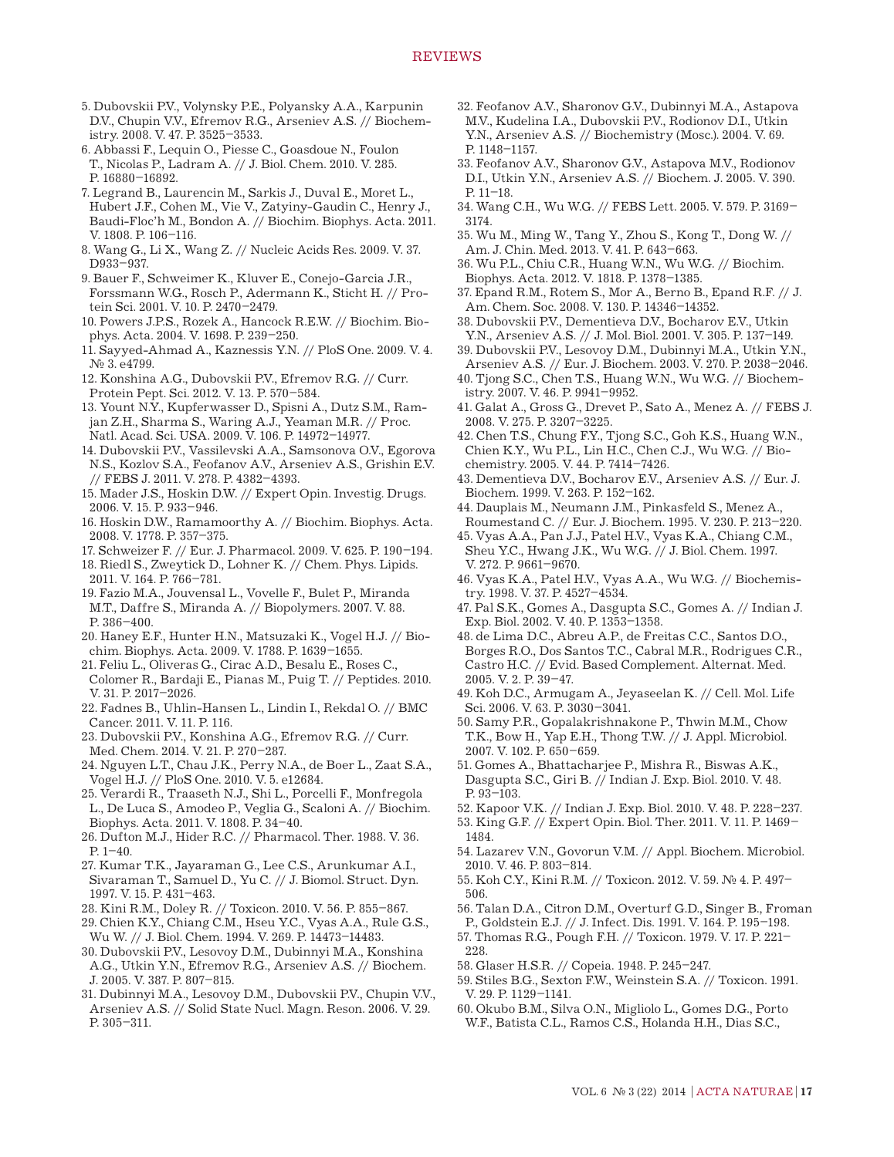- 5. Dubovskii P.V., Volynsky P.E., Polyansky A.A., Karpunin D.V., Chupin V.V., Efremov R.G., Arseniev A.S. // Biochemistry. 2008. V. 47. P. 3525–3533.
- 6. Abbassi F., Lequin O., Piesse C., Goasdoue N., Foulon T., Nicolas P., Ladram A. // J. Biol. Chem. 2010. V. 285. P. 16880–16892.
- 7. Legrand B., Laurencin M., Sarkis J., Duval E., Moret L., Hubert J.F., Cohen M., Vie V., Zatyiny-Gaudin C., Henry J., Baudi-Floc'h M., Bondon A. // Biochim. Biophys. Acta. 2011. V. 1808. P. 106–116.
- 8. Wang G., Li X., Wang Z. // Nucleic Acids Res. 2009. V. 37. D933–937.
- 9. Bauer F., Schweimer K., Kluver E., Conejo-Garcia J.R., Forssmann W.G., Rosch P., Adermann K., Sticht H. // Protein Sci. 2001. V. 10. P. 2470–2479.
- 10. Powers J.P.S., Rozek A., Hancock R.E.W. // Biochim. Biophys. Acta. 2004. V. 1698. P. 239–250.
- 11. Sayyed-Ahmad A., Kaznessis Y.N. // PloS One. 2009. V. 4. № 3. e4799.
- 12. Konshina A.G., Dubovskii P.V., Efremov R.G. // Curr. Protein Pept. Sci. 2012. V. 13. P. 570–584.
- 13. Yount N.Y., Kupferwasser D., Spisni A., Dutz S.M., Ramjan Z.H., Sharma S., Waring A.J., Yeaman M.R. // Proc. Natl. Acad. Sci. USA. 2009. V. 106. P. 14972–14977.
- 14. Dubovskii P.V., Vassilevski A.A., Samsonova O.V., Egorova N.S., Kozlov S.A., Feofanov A.V., Arseniev A.S., Grishin E.V. // FEBS J. 2011. V. 278. P. 4382–4393.
- 15. Mader J.S., Hoskin D.W. // Expert Opin. Investig. Drugs. 2006. V. 15. P. 933–946.
- 16. Hoskin D.W., Ramamoorthy A. // Biochim. Biophys. Acta. 2008. V. 1778. P. 357–375.
- 17. Schweizer F. // Eur. J. Pharmacol. 2009. V. 625. P. 190–194.
- 18. Riedl S., Zweytick D., Lohner K. // Chem. Phys. Lipids. 2011. V. 164. P. 766–781.
- 19. Fazio M.A., Jouvensal L., Vovelle F., Bulet P., Miranda M.T., Daffre S., Miranda A. // Biopolymers. 2007. V. 88. P. 386–400.
- 20. Haney E.F., Hunter H.N., Matsuzaki K., Vogel H.J. // Biochim. Biophys. Acta. 2009. V. 1788. P. 1639–1655.
- 21. Feliu L., Oliveras G., Cirac A.D., Besalu E., Roses C., Colomer R., Bardaji E., Pianas M., Puig T. // Peptides. 2010. V. 31. P. 2017–2026.
- 22. Fadnes B., Uhlin-Hansen L., Lindin I., Rekdal O. // BMC Cancer. 2011. V. 11. P. 116.
- 23. Dubovskii P.V., Konshina A.G., Efremov R.G. // Curr. Med. Chem. 2014. V. 21. P. 270–287.
- 24. Nguyen L.T., Chau J.K., Perry N.A., de Boer L., Zaat S.A., Vogel H.J. // PloS One. 2010. V. 5. e12684.
- 25. Verardi R., Traaseth N.J., Shi L., Porcelli F., Monfregola L., De Luca S., Amodeo P., Veglia G., Scaloni A. // Biochim. Biophys. Acta. 2011. V. 1808. P. 34–40.
- 26. Dufton M.J., Hider R.C. // Pharmacol. Ther. 1988. V. 36. P.  $1-40$ .
- 27. Kumar T.K., Jayaraman G., Lee C.S., Arunkumar A.I., Sivaraman T., Samuel D., Yu C. // J. Biomol. Struct. Dyn. 1997. V. 15. P. 431–463.
- 28. Kini R.M., Doley R. // Toxicon. 2010. V. 56. P. 855–867.
- 29. Chien K.Y., Chiang C.M., Hseu Y.C., Vyas A.A., Rule G.S., Wu W. // J. Biol. Chem. 1994. V. 269. P. 14473–14483.
- 30. Dubovskii P.V., Lesovoy D.M., Dubinnyi M.A., Konshina A.G., Utkin Y.N., Efremov R.G., Arseniev A.S. // Biochem. J. 2005. V. 387. P. 807–815.
- 31. Dubinnyi M.A., Lesovoy D.M., Dubovskii P.V., Chupin V.V., Arseniev A.S. // Solid State Nucl. Magn. Reson. 2006. V. 29. P. 305–311.
- 32. Feofanov A.V., Sharonov G.V., Dubinnyi M.A., Astapova M.V., Kudelina I.A., Dubovskii P.V., Rodionov D.I., Utkin Y.N., Arseniev A.S. // Biochemistry (Mosc.). 2004. V. 69. P. 1148–1157.
- 33. Feofanov A.V., Sharonov G.V., Astapova M.V., Rodionov D.I., Utkin Y.N., Arseniev A.S. // Biochem. J. 2005. V. 390. P. 11–18.
- 34. Wang C.H., Wu W.G. // FEBS Lett. 2005. V. 579. P. 3169– 3174.
- 35. Wu M., Ming W., Tang Y., Zhou S., Kong T., Dong W. // Am. J. Chin. Med. 2013. V. 41. P. 643–663.
- 36. Wu P.L., Chiu C.R., Huang W.N., Wu W.G. // Biochim. Biophys. Acta. 2012. V. 1818. P. 1378–1385.
- 37. Epand R.M., Rotem S., Mor A., Berno B., Epand R.F. // J. Am. Chem. Soc. 2008. V. 130. P. 14346–14352.
- 38. Dubovskii P.V., Dementieva D.V., Bocharov E.V., Utkin Y.N., Arseniev A.S. // J. Mol. Biol. 2001. V. 305. P. 137–149.
- 39. Dubovskii P.V., Lesovoy D.M., Dubinnyi M.A., Utkin Y.N., Arseniev A.S. // Eur. J. Biochem. 2003. V. 270. P. 2038–2046.
- 40. Tjong S.C., Chen T.S., Huang W.N., Wu W.G. // Biochemistry. 2007. V. 46. P. 9941–9952.
- 41. Galat A., Gross G., Drevet P., Sato A., Menez A. // FEBS J. 2008. V. 275. P. 3207–3225.
- 42. Chen T.S., Chung F.Y., Tjong S.C., Goh K.S., Huang W.N., Chien K.Y., Wu P.L., Lin H.C., Chen C.J., Wu W.G. // Biochemistry. 2005. V. 44. P. 7414–7426.
- 43. Dementieva D.V., Bocharov E.V., Arseniev A.S. // Eur. J. Biochem. 1999. V. 263. P. 152–162.
- 44. Dauplais M., Neumann J.M., Pinkasfeld S., Menez A., Roumestand C. // Eur. J. Biochem. 1995. V. 230. P. 213–220.
- 45. Vyas A.A., Pan J.J., Patel H.V., Vyas K.A., Chiang C.M., Sheu Y.C., Hwang J.K., Wu W.G. // J. Biol. Chem. 1997. V. 272. P. 9661–9670.
- 46. Vyas K.A., Patel H.V., Vyas A.A., Wu W.G. // Biochemistry. 1998. V. 37. P. 4527–4534.
- 47. Pal S.K., Gomes A., Dasgupta S.C., Gomes A. // Indian J. Exp. Biol. 2002. V. 40. P. 1353–1358.
- 48. de Lima D.C., Abreu A.P., de Freitas C.C., Santos D.O., Borges R.O., Dos Santos T.C., Cabral M.R., Rodrigues C.R., Castro H.C. // Evid. Based Complement. Alternat. Med. 2005. V. 2. P. 39–47.
- 49. Koh D.C., Armugam A., Jeyaseelan K. // Cell. Mol. Life Sci. 2006. V. 63. P. 3030–3041.
- 50. Samy P.R., Gopalakrishnakone P., Thwin M.M., Chow T.K., Bow H., Yap E.H., Thong T.W. // J. Appl. Microbiol. 2007. V. 102. P. 650–659.
- 51. Gomes A., Bhattacharjee P., Mishra R., Biswas A.K., Dasgupta S.C., Giri B. // Indian J. Exp. Biol. 2010. V. 48. P. 93–103.
- 52. Kapoor V.K. // Indian J. Exp. Biol. 2010. V. 48. P. 228–237.
- 53. King G.F. // Expert Opin. Biol. Ther. 2011. V. 11. P. 1469– 1484.
- 54. Lazarev V.N., Govorun V.M. // Appl. Biochem. Microbiol. 2010. V. 46. P. 803–814.
- 55. Koh C.Y., Kini R.M. // Toxicon. 2012. V. 59. № 4. P. 497– 506.
- 56. Talan D.A., Citron D.M., Overturf G.D., Singer B., Froman P., Goldstein E.J. // J. Infect. Dis. 1991. V. 164. P. 195–198.
- 57. Thomas R.G., Pough F.H. // Toxicon. 1979. V. 17. P. 221– 228.
- 58. Glaser H.S.R. // Copeia. 1948. P. 245–247.
- 59. Stiles B.G., Sexton F.W., Weinstein S.A. // Toxicon. 1991. V. 29. P. 1129–1141.
- 60. Okubo B.M., Silva O.N., Migliolo L., Gomes D.G., Porto W.F., Batista C.L., Ramos C.S., Holanda H.H., Dias S.C.,